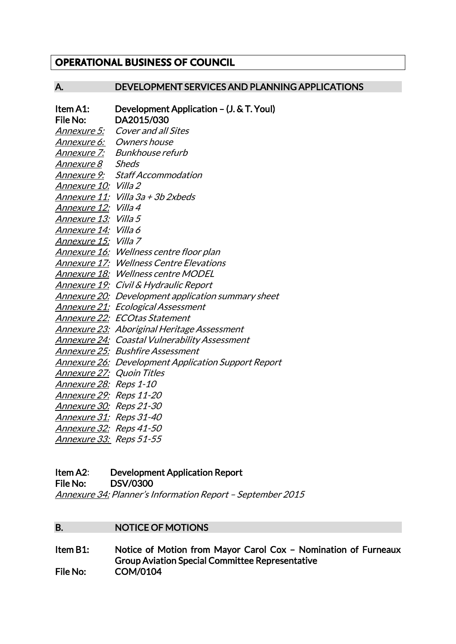# **OPERATIONAL BUSINESS OF COUNCIL**

# A. DEVELOPMENT SERVICES AND PLANNING APPLICATIONS

| Item A1:                         | Development Application - (J. & T. Youl)                   |
|----------------------------------|------------------------------------------------------------|
| File No:                         | DA2015/030                                                 |
| <u> Annexure 5:</u>              | <b>Cover and all Sites</b>                                 |
|                                  | Annexure 6: Owners house                                   |
| <u>Annexu</u> re 7:              | <b>Bunkhouse refurb</b>                                    |
| <u>Annexure 8</u>                | <b>Sheds</b>                                               |
| <i>Annexure 9:</i>               | <b>Staff Accommodation</b>                                 |
| Annexure 10: Villa 2             |                                                            |
| <i>Annexure 11:</i>              | Villa 3a + 3b 2xbeds                                       |
| <i>Annexure 12:</i>              | Villa 4                                                    |
| <u>Annexure 13:</u>              | <i>Villa</i> 5                                             |
| <u>Annexure 14:</u> Villa 6      |                                                            |
| Annexure 15: Villa 7             |                                                            |
|                                  | Annexure 16: Wellness centre floor plan                    |
|                                  | <b>Annexure 17: Wellness Centre Elevations</b>             |
|                                  | <b>Annexure 18: Wellness centre MODEL</b>                  |
|                                  | <u>Annexure 19:</u> Civil & Hydraulic Report               |
|                                  | <u> Annexure 20:</u> Development application summary sheet |
|                                  | Annexure 21: Ecological Assessment                         |
|                                  | <b>Annexure 22: ECOtas Statement</b>                       |
|                                  | Annexure 23: Aboriginal Heritage Assessment                |
|                                  | <b>Annexure 24: Coastal Vulnerability Assessment</b>       |
|                                  | <b>Annexure 25: Bushfire Assessment</b>                    |
|                                  | <b>Annexure 26: Development Application Support Report</b> |
| <u>Annexure 27:</u> Quoin Titles |                                                            |
| <u>Annexure 28:</u> Reps 1-10    |                                                            |
| <u>Annexure 29:</u> Reps 11-20   |                                                            |
| <u>Annexure 30:</u> Reps 21-30   |                                                            |
| Annexure 31: Reps 31-40          |                                                            |
| <u>Annexure 32:</u> Reps 41-50   |                                                            |
| Annexure 33: Reps 51-55          |                                                            |

# Item A2: Development Application Report

File No: DSV/0300

Annexure 34: Planner's Information Report – September 2015

### B. NOTICE OF MOTIONS

Item B1: Notice of Motion from Mayor Carol Cox – Nomination of Furneaux Group Aviation Special Committee Representative File No: COM/0104